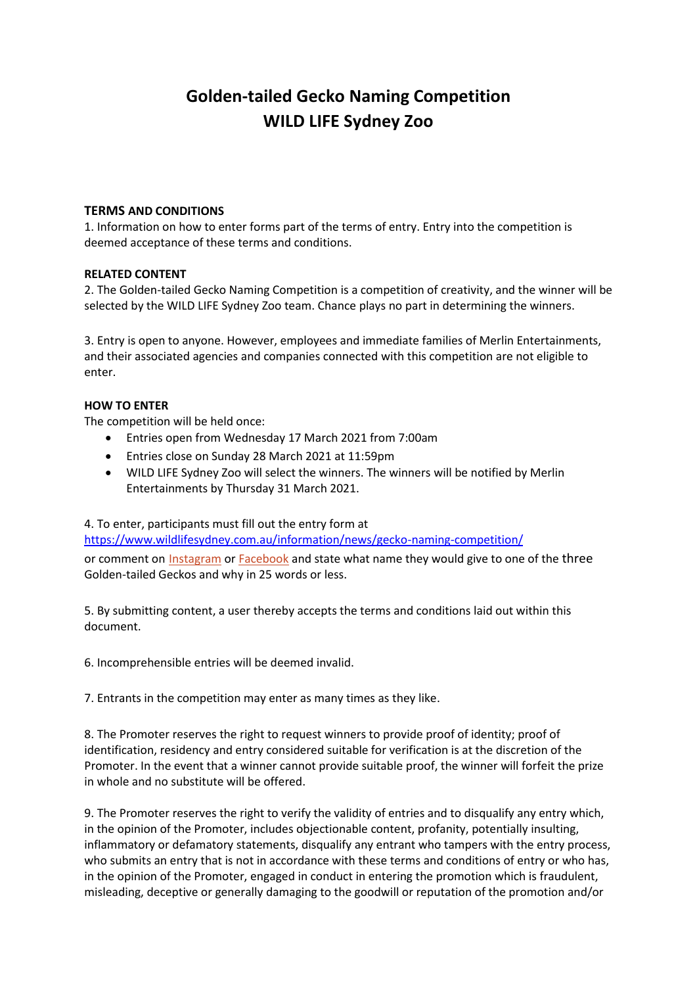# **Golden-tailed Gecko Naming Competition WILD LIFE Sydney Zoo**

### **TERMS AND CONDITIONS**

1. Information on how to enter forms part of the terms of entry. Entry into the competition is deemed acceptance of these terms and conditions.

## **RELATED CONTENT**

2. The Golden-tailed Gecko Naming Competition is a competition of creativity, and the winner will be selected by the WILD LIFE Sydney Zoo team. Chance plays no part in determining the winners.

3. Entry is open to anyone. However, employees and immediate families of Merlin Entertainments, and their associated agencies and companies connected with this competition are not eligible to enter.

### **HOW TO ENTER**

The competition will be held once:

- Entries open from Wednesday 17 March 2021 from 7:00am
- Entries close on Sunday 28 March 2021 at 11:59pm
- WILD LIFE Sydney Zoo will select the winners. The winners will be notified by Merlin Entertainments by Thursday 31 March 2021.

4. To enter, participants must fill out the entry form at

<https://www.wildlifesydney.com.au/information/news/gecko-naming-competition/> or comment on [Instagram](https://www.instagram.com/wildlifesydneyzoo/) or [Facebook](https://www.facebook.com/wildlifesydney/) and state what name they would give to one of the three Golden-tailed Geckos and why in 25 words or less.

5. By submitting content, a user thereby accepts the terms and conditions laid out within this document.

6. Incomprehensible entries will be deemed invalid.

7. Entrants in the competition may enter as many times as they like.

8. The Promoter reserves the right to request winners to provide proof of identity; proof of identification, residency and entry considered suitable for verification is at the discretion of the Promoter. In the event that a winner cannot provide suitable proof, the winner will forfeit the prize in whole and no substitute will be offered.

9. The Promoter reserves the right to verify the validity of entries and to disqualify any entry which, in the opinion of the Promoter, includes objectionable content, profanity, potentially insulting, inflammatory or defamatory statements, disqualify any entrant who tampers with the entry process, who submits an entry that is not in accordance with these terms and conditions of entry or who has, in the opinion of the Promoter, engaged in conduct in entering the promotion which is fraudulent, misleading, deceptive or generally damaging to the goodwill or reputation of the promotion and/or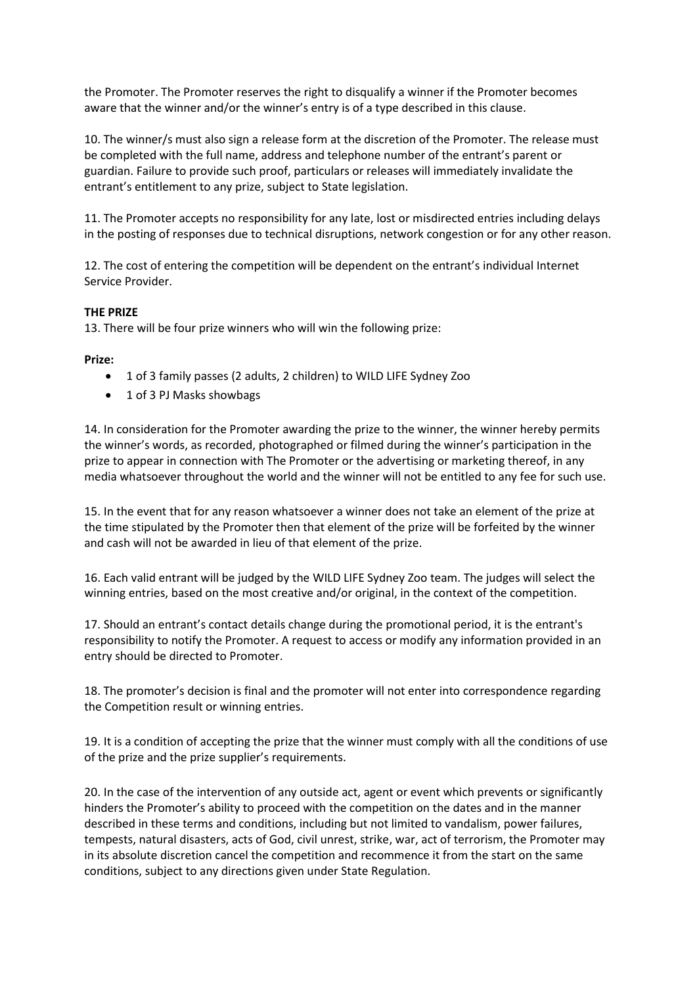the Promoter. The Promoter reserves the right to disqualify a winner if the Promoter becomes aware that the winner and/or the winner's entry is of a type described in this clause.

10. The winner/s must also sign a release form at the discretion of the Promoter. The release must be completed with the full name, address and telephone number of the entrant's parent or guardian. Failure to provide such proof, particulars or releases will immediately invalidate the entrant's entitlement to any prize, subject to State legislation.

11. The Promoter accepts no responsibility for any late, lost or misdirected entries including delays in the posting of responses due to technical disruptions, network congestion or for any other reason.

12. The cost of entering the competition will be dependent on the entrant's individual Internet Service Provider.

#### **THE PRIZE**

13. There will be four prize winners who will win the following prize:

**Prize:** 

- 1 of 3 family passes (2 adults, 2 children) to WILD LIFE Sydney Zoo
- 1 of 3 PJ Masks showbags

14. In consideration for the Promoter awarding the prize to the winner, the winner hereby permits the winner's words, as recorded, photographed or filmed during the winner's participation in the prize to appear in connection with The Promoter or the advertising or marketing thereof, in any media whatsoever throughout the world and the winner will not be entitled to any fee for such use.

15. In the event that for any reason whatsoever a winner does not take an element of the prize at the time stipulated by the Promoter then that element of the prize will be forfeited by the winner and cash will not be awarded in lieu of that element of the prize.

16. Each valid entrant will be judged by the WILD LIFE Sydney Zoo team. The judges will select the winning entries, based on the most creative and/or original, in the context of the competition.

17. Should an entrant's contact details change during the promotional period, it is the entrant's responsibility to notify the Promoter. A request to access or modify any information provided in an entry should be directed to Promoter.

18. The promoter's decision is final and the promoter will not enter into correspondence regarding the Competition result or winning entries.

19. It is a condition of accepting the prize that the winner must comply with all the conditions of use of the prize and the prize supplier's requirements.

20. In the case of the intervention of any outside act, agent or event which prevents or significantly hinders the Promoter's ability to proceed with the competition on the dates and in the manner described in these terms and conditions, including but not limited to vandalism, power failures, tempests, natural disasters, acts of God, civil unrest, strike, war, act of terrorism, the Promoter may in its absolute discretion cancel the competition and recommence it from the start on the same conditions, subject to any directions given under State Regulation.